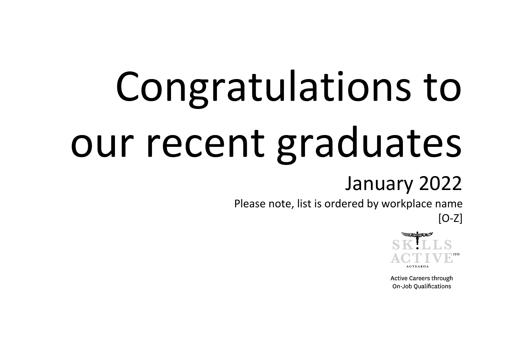## Congratulations to our recent graduates

## January 2022

Please note, list is ordered by workplace name

[O-Z]



**Active Careers through** On-Job Qualifications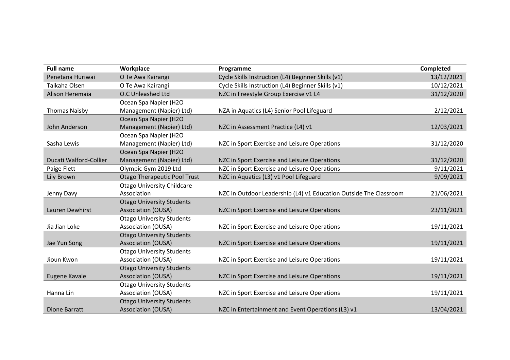| <b>Full name</b>       | Workplace                           | Programme                                                         | Completed  |
|------------------------|-------------------------------------|-------------------------------------------------------------------|------------|
| Penetana Huriwai       | O Te Awa Kairangi                   | Cycle Skills Instruction (L4) Beginner Skills (v1)                | 13/12/2021 |
| Taikaha Olsen          | O Te Awa Kairangi                   | Cycle Skills Instruction (L4) Beginner Skills (v1)                | 10/12/2021 |
| Alison Heremaia        | O.C Unleashed Ltd                   | NZC in Freestyle Group Exercise v1 L4                             | 31/12/2020 |
|                        | Ocean Spa Napier (H2O               |                                                                   |            |
| <b>Thomas Naisby</b>   | Management (Napier) Ltd)            | NZA in Aquatics (L4) Senior Pool Lifeguard                        | 2/12/2021  |
|                        | Ocean Spa Napier (H2O               |                                                                   |            |
| John Anderson          | Management (Napier) Ltd)            | NZC in Assessment Practice (L4) v1                                | 12/03/2021 |
|                        | Ocean Spa Napier (H2O               |                                                                   |            |
| Sasha Lewis            | Management (Napier) Ltd)            | NZC in Sport Exercise and Leisure Operations                      | 31/12/2020 |
|                        | Ocean Spa Napier (H2O               |                                                                   |            |
| Ducati Walford-Collier | Management (Napier) Ltd)            | NZC in Sport Exercise and Leisure Operations                      | 31/12/2020 |
| Paige Flett            | Olympic Gym 2019 Ltd                | NZC in Sport Exercise and Leisure Operations                      | 9/11/2021  |
| Lily Brown             | <b>Otago Therapeutic Pool Trust</b> | NZC in Aquatics (L3) v1 Pool Lifeguard                            | 9/09/2021  |
|                        | <b>Otago University Childcare</b>   |                                                                   |            |
| Jenny Davy             | Association                         | NZC in Outdoor Leadership (L4) v1 Education Outside The Classroom | 21/06/2021 |
|                        | <b>Otago University Students</b>    |                                                                   |            |
| Lauren Dewhirst        | Association (OUSA)                  | NZC in Sport Exercise and Leisure Operations                      | 23/11/2021 |
|                        | <b>Otago University Students</b>    |                                                                   |            |
| Jia Jian Loke          | <b>Association (OUSA)</b>           | NZC in Sport Exercise and Leisure Operations                      | 19/11/2021 |
|                        | <b>Otago University Students</b>    |                                                                   |            |
| Jae Yun Song           | Association (OUSA)                  | NZC in Sport Exercise and Leisure Operations                      | 19/11/2021 |
|                        | <b>Otago University Students</b>    |                                                                   |            |
| Jioun Kwon             | <b>Association (OUSA)</b>           | NZC in Sport Exercise and Leisure Operations                      | 19/11/2021 |
|                        | <b>Otago University Students</b>    |                                                                   |            |
| Eugene Kavale          | <b>Association (OUSA)</b>           | NZC in Sport Exercise and Leisure Operations                      | 19/11/2021 |
|                        | <b>Otago University Students</b>    |                                                                   |            |
| Hanna Lin              | <b>Association (OUSA)</b>           | NZC in Sport Exercise and Leisure Operations                      | 19/11/2021 |
|                        | <b>Otago University Students</b>    |                                                                   |            |
| Dione Barratt          | <b>Association (OUSA)</b>           | NZC in Entertainment and Event Operations (L3) v1                 | 13/04/2021 |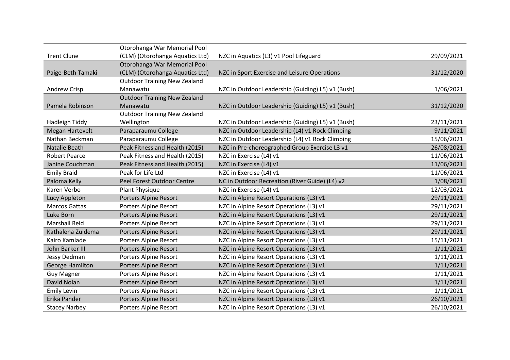|                      | Otorohanga War Memorial Pool        |                                                   |            |
|----------------------|-------------------------------------|---------------------------------------------------|------------|
| <b>Trent Clune</b>   | (CLM) (Otorohanga Aquatics Ltd)     | NZC in Aquatics (L3) v1 Pool Lifeguard            | 29/09/2021 |
|                      | Otorohanga War Memorial Pool        |                                                   |            |
| Paige-Beth Tamaki    | (CLM) (Otorohanga Aquatics Ltd)     | NZC in Sport Exercise and Leisure Operations      | 31/12/2020 |
|                      | <b>Outdoor Training New Zealand</b> |                                                   |            |
| <b>Andrew Crisp</b>  | Manawatu                            | NZC in Outdoor Leadership (Guiding) L5) v1 (Bush) | 1/06/2021  |
|                      | <b>Outdoor Training New Zealand</b> |                                                   |            |
| Pamela Robinson      | Manawatu                            | NZC in Outdoor Leadership (Guiding) L5) v1 (Bush) | 31/12/2020 |
|                      | <b>Outdoor Training New Zealand</b> |                                                   |            |
| Hadleigh Tiddy       | Wellington                          | NZC in Outdoor Leadership (Guiding) L5) v1 (Bush) | 23/11/2021 |
| Megan Hartevelt      | Paraparaumu College                 | NZC in Outdoor Leadership (L4) v1 Rock Climbing   | 9/11/2021  |
| Nathan Beckman       | Paraparaumu College                 | NZC in Outdoor Leadership (L4) v1 Rock Climbing   | 15/06/2021 |
| Natalie Beath        | Peak Fitness and Health (2015)      | NZC in Pre-choreographed Group Exercise L3 v1     | 26/08/2021 |
| <b>Robert Pearce</b> | Peak Fitness and Health (2015)      | NZC in Exercise (L4) v1                           | 11/06/2021 |
| Janine Couchman      | Peak Fitness and Health (2015)      | NZC in Exercise (L4) v1                           | 11/06/2021 |
| <b>Emily Braid</b>   | Peak for Life Ltd                   | NZC in Exercise (L4) v1                           | 11/06/2021 |
| Paloma Kelly         | Peel Forest Outdoor Centre          | NC in Outdoor Recreation (River Guide) (L4) v2    | 1/08/2021  |
| Karen Verbo          | Plant Physique                      | NZC in Exercise (L4) v1                           | 12/03/2021 |
| Lucy Appleton        | <b>Porters Alpine Resort</b>        | NZC in Alpine Resort Operations (L3) v1           | 29/11/2021 |
| <b>Marcos Gattas</b> | Porters Alpine Resort               | NZC in Alpine Resort Operations (L3) v1           | 29/11/2021 |
| Luke Born            | <b>Porters Alpine Resort</b>        | NZC in Alpine Resort Operations (L3) v1           | 29/11/2021 |
| <b>Marshall Reid</b> | Porters Alpine Resort               | NZC in Alpine Resort Operations (L3) v1           | 29/11/2021 |
| Kathalena Zuidema    | Porters Alpine Resort               | NZC in Alpine Resort Operations (L3) v1           | 29/11/2021 |
| Kairo Kamlade        | Porters Alpine Resort               | NZC in Alpine Resort Operations (L3) v1           | 15/11/2021 |
| John Barker III      | Porters Alpine Resort               | NZC in Alpine Resort Operations (L3) v1           | 1/11/2021  |
| Jessy Dedman         | Porters Alpine Resort               | NZC in Alpine Resort Operations (L3) v1           | 1/11/2021  |
| George Hamilton      | <b>Porters Alpine Resort</b>        | NZC in Alpine Resort Operations (L3) v1           | 1/11/2021  |
| <b>Guy Magner</b>    | Porters Alpine Resort               | NZC in Alpine Resort Operations (L3) v1           | 1/11/2021  |
| David Nolan          | Porters Alpine Resort               | NZC in Alpine Resort Operations (L3) v1           | 1/11/2021  |
| <b>Emily Levin</b>   | Porters Alpine Resort               | NZC in Alpine Resort Operations (L3) v1           | 1/11/2021  |
| Erika Pander         | <b>Porters Alpine Resort</b>        | NZC in Alpine Resort Operations (L3) v1           | 26/10/2021 |
| <b>Stacey Narbey</b> | Porters Alpine Resort               | NZC in Alpine Resort Operations (L3) v1           | 26/10/2021 |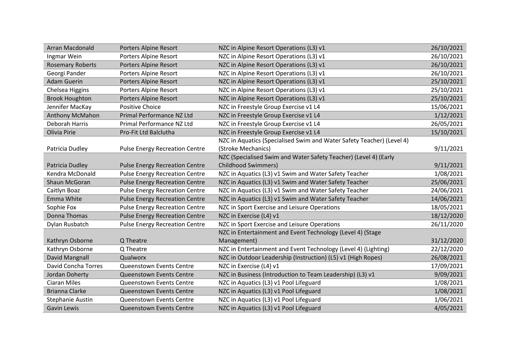| Arran Macdonald         | <b>Porters Alpine Resort</b>          | NZC in Alpine Resort Operations (L3) v1                               | 26/10/2021 |
|-------------------------|---------------------------------------|-----------------------------------------------------------------------|------------|
| Ingmar Wein             | Porters Alpine Resort                 | NZC in Alpine Resort Operations (L3) v1                               | 26/10/2021 |
| <b>Rosemary Roberts</b> | <b>Porters Alpine Resort</b>          | NZC in Alpine Resort Operations (L3) v1                               | 26/10/2021 |
| Georgi Pander           | <b>Porters Alpine Resort</b>          | NZC in Alpine Resort Operations (L3) v1                               | 26/10/2021 |
| <b>Adam Guerin</b>      | <b>Porters Alpine Resort</b>          | NZC in Alpine Resort Operations (L3) v1                               | 25/10/2021 |
| Chelsea Higgins         | Porters Alpine Resort                 | NZC in Alpine Resort Operations (L3) v1                               | 25/10/2021 |
| <b>Brook Houghton</b>   | <b>Porters Alpine Resort</b>          | NZC in Alpine Resort Operations (L3) v1                               | 25/10/2021 |
| Jennifer MacKay         | <b>Positive Choice</b>                | NZC in Freestyle Group Exercise v1 L4                                 | 15/06/2021 |
| Anthony McMahon         | Primal Performance NZ Ltd             | NZC in Freestyle Group Exercise v1 L4                                 | 1/12/2021  |
| Deborah Harris          | Primal Performance NZ Ltd             | NZC in Freestyle Group Exercise v1 L4                                 | 26/05/2021 |
| Olivia Pirie            | Pro-Fit Ltd Balclutha                 | NZC in Freestyle Group Exercise v1 L4                                 | 15/10/2021 |
|                         |                                       | NZC in Aquatics (Specialised Swim and Water Safety Teacher) (Level 4) |            |
| Patricia Dudley         | <b>Pulse Energy Recreation Centre</b> | (Stroke Mechanics)                                                    | 9/11/2021  |
|                         |                                       | NZC (Specialised Swim and Water Safety Teacher) (Level 4) (Early      |            |
| Patricia Dudley         | <b>Pulse Energy Recreation Centre</b> | <b>Childhood Swimmers)</b>                                            | 9/11/2021  |
| Kendra McDonald         | <b>Pulse Energy Recreation Centre</b> | NZC in Aquatics (L3) v1 Swim and Water Safety Teacher                 | 1/08/2021  |
| Shaun McGoran           | <b>Pulse Energy Recreation Centre</b> | NZC in Aquatics (L3) v1 Swim and Water Safety Teacher                 | 25/06/2021 |
| Caitlyn Boaz            | <b>Pulse Energy Recreation Centre</b> | NZC in Aquatics (L3) v1 Swim and Water Safety Teacher                 | 24/06/2021 |
| Emma White              | <b>Pulse Energy Recreation Centre</b> | NZC in Aquatics (L3) v1 Swim and Water Safety Teacher                 | 14/06/2021 |
| Sophie Fox              | <b>Pulse Energy Recreation Centre</b> | NZC in Sport Exercise and Leisure Operations                          | 18/05/2021 |
| <b>Donna Thomas</b>     | <b>Pulse Energy Recreation Centre</b> | NZC in Exercise (L4) v1                                               | 18/12/2020 |
| Dylan Rusbatch          | <b>Pulse Energy Recreation Centre</b> | NZC in Sport Exercise and Leisure Operations                          | 26/11/2020 |
|                         |                                       | NZC in Entertainment and Event Technology (Level 4) (Stage            |            |
| Kathryn Osborne         | Q Theatre                             | Management)                                                           | 31/12/2020 |
| Kathryn Osborne         | Q Theatre                             | NZC in Entertainment and Event Technology (Level 4) (Lighting)        | 22/12/2020 |
| David Mangnall          | Qualworx                              | NZC in Outdoor Leadership (Instruction) (L5) v1 (High Ropes)          | 26/08/2021 |
| David Concha Torres     | Queenstown Events Centre              | NZC in Exercise (L4) v1                                               | 17/09/2021 |
| Jordan Doherty          | Queenstown Events Centre              | NZC in Business (Introduction to Team Leadership) (L3) v1             | 9/09/2021  |
| <b>Ciaran Miles</b>     | Queenstown Events Centre              | NZC in Aquatics (L3) v1 Pool Lifeguard                                | 1/08/2021  |
| <b>Brianna Clarke</b>   | Queenstown Events Centre              | NZC in Aquatics (L3) v1 Pool Lifeguard                                | 1/08/2021  |
| <b>Stephanie Austin</b> | Queenstown Events Centre              | NZC in Aquatics (L3) v1 Pool Lifeguard                                | 1/06/2021  |
| <b>Gavin Lewis</b>      | Queenstown Events Centre              | NZC in Aquatics (L3) v1 Pool Lifeguard                                | 4/05/2021  |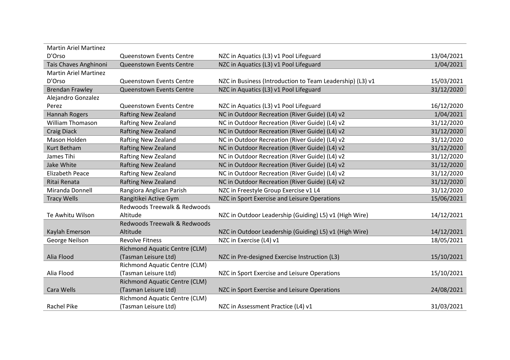| <b>Martin Ariel Martinez</b> |                                      |                                                           |            |
|------------------------------|--------------------------------------|-----------------------------------------------------------|------------|
| D'Orso                       | <b>Queenstown Events Centre</b>      | NZC in Aquatics (L3) v1 Pool Lifeguard                    | 13/04/2021 |
| Tais Chaves Anghinoni        | Queenstown Events Centre             | NZC in Aquatics (L3) v1 Pool Lifeguard                    | 1/04/2021  |
| <b>Martin Ariel Martinez</b> |                                      |                                                           |            |
| D'Orso                       | Queenstown Events Centre             | NZC in Business (Introduction to Team Leadership) (L3) v1 | 15/03/2021 |
| <b>Brendan Frawley</b>       | Queenstown Events Centre             | NZC in Aquatics (L3) v1 Pool Lifeguard                    | 31/12/2020 |
| Alejandro Gonzalez           |                                      |                                                           |            |
| Perez                        | Queenstown Events Centre             | NZC in Aquatics (L3) v1 Pool Lifeguard                    | 16/12/2020 |
| Hannah Rogers                | <b>Rafting New Zealand</b>           | NC in Outdoor Recreation (River Guide) (L4) v2            | 1/04/2021  |
| <b>William Thomason</b>      | <b>Rafting New Zealand</b>           | NC in Outdoor Recreation (River Guide) (L4) v2            | 31/12/2020 |
| <b>Craig Diack</b>           | <b>Rafting New Zealand</b>           | NC in Outdoor Recreation (River Guide) (L4) v2            | 31/12/2020 |
| Mason Holden                 | <b>Rafting New Zealand</b>           | NC in Outdoor Recreation (River Guide) (L4) v2            | 31/12/2020 |
| Kurt Betham                  | <b>Rafting New Zealand</b>           | NC in Outdoor Recreation (River Guide) (L4) v2            | 31/12/2020 |
| James Tihi                   | <b>Rafting New Zealand</b>           | NC in Outdoor Recreation (River Guide) (L4) v2            | 31/12/2020 |
| Jake White                   | <b>Rafting New Zealand</b>           | NC in Outdoor Recreation (River Guide) (L4) v2            | 31/12/2020 |
| <b>Elizabeth Peace</b>       | <b>Rafting New Zealand</b>           | NC in Outdoor Recreation (River Guide) (L4) v2            | 31/12/2020 |
| Ritai Renata                 | <b>Rafting New Zealand</b>           | NC in Outdoor Recreation (River Guide) (L4) v2            | 31/12/2020 |
| Miranda Donnell              | Rangiora Anglican Parish             | NZC in Freestyle Group Exercise v1 L4                     | 31/12/2020 |
| <b>Tracy Wells</b>           | Rangitikei Active Gym                | NZC in Sport Exercise and Leisure Operations              | 15/06/2021 |
|                              | Redwoods Treewalk & Redwoods         |                                                           |            |
| Te Awhitu Wilson             | Altitude                             | NZC in Outdoor Leadership (Guiding) L5) v1 (High Wire)    | 14/12/2021 |
|                              | Redwoods Treewalk & Redwoods         |                                                           |            |
| Kaylah Emerson               | Altitude                             | NZC in Outdoor Leadership (Guiding) L5) v1 (High Wire)    | 14/12/2021 |
| George Neilson               | <b>Revolve Fitness</b>               | NZC in Exercise (L4) v1                                   | 18/05/2021 |
|                              | <b>Richmond Aquatic Centre (CLM)</b> |                                                           |            |
| Alia Flood                   | (Tasman Leisure Ltd)                 | NZC in Pre-designed Exercise Instruction (L3)             | 15/10/2021 |
|                              | <b>Richmond Aquatic Centre (CLM)</b> |                                                           |            |
| Alia Flood                   | (Tasman Leisure Ltd)                 | NZC in Sport Exercise and Leisure Operations              | 15/10/2021 |
|                              | <b>Richmond Aquatic Centre (CLM)</b> |                                                           |            |
| Cara Wells                   | (Tasman Leisure Ltd)                 | NZC in Sport Exercise and Leisure Operations              | 24/08/2021 |
|                              | Richmond Aquatic Centre (CLM)        |                                                           |            |
| <b>Rachel Pike</b>           | (Tasman Leisure Ltd)                 | NZC in Assessment Practice (L4) v1                        | 31/03/2021 |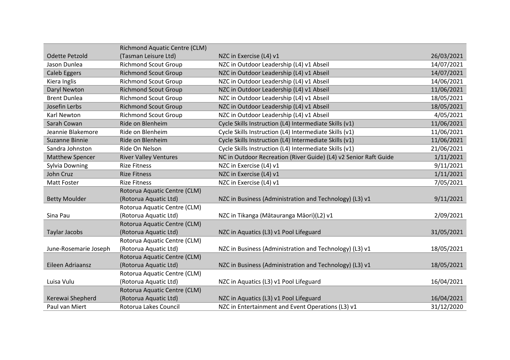|                        | <b>Richmond Aquatic Centre (CLM)</b> |                                                                  |            |
|------------------------|--------------------------------------|------------------------------------------------------------------|------------|
| <b>Odette Petzold</b>  | (Tasman Leisure Ltd)                 | NZC in Exercise (L4) v1                                          | 26/03/2021 |
| Jason Dunlea           | <b>Richmond Scout Group</b>          | NZC in Outdoor Leadership (L4) v1 Abseil                         | 14/07/2021 |
| <b>Caleb Eggers</b>    | <b>Richmond Scout Group</b>          | NZC in Outdoor Leadership (L4) v1 Abseil                         | 14/07/2021 |
| Kiera Inglis           | <b>Richmond Scout Group</b>          | NZC in Outdoor Leadership (L4) v1 Abseil                         | 14/06/2021 |
| Daryl Newton           | <b>Richmond Scout Group</b>          | NZC in Outdoor Leadership (L4) v1 Abseil                         | 11/06/2021 |
| <b>Brent Dunlea</b>    | <b>Richmond Scout Group</b>          | NZC in Outdoor Leadership (L4) v1 Abseil                         | 18/05/2021 |
| Josefin Lerbs          | <b>Richmond Scout Group</b>          | NZC in Outdoor Leadership (L4) v1 Abseil                         | 18/05/2021 |
| Karl Newton            | <b>Richmond Scout Group</b>          | NZC in Outdoor Leadership (L4) v1 Abseil                         | 4/05/2021  |
| Sarah Cowan            | Ride on Blenheim                     | Cycle Skills Instruction (L4) Intermediate Skills (v1)           | 11/06/2021 |
| Jeannie Blakemore      | Ride on Blenheim                     | Cycle Skills Instruction (L4) Intermediate Skills (v1)           | 11/06/2021 |
| Suzanne Binnie         | Ride on Blenheim                     | Cycle Skills Instruction (L4) Intermediate Skills (v1)           | 11/06/2021 |
| Sandra Johnston        | Ride On Nelson                       | Cycle Skills Instruction (L4) Intermediate Skills (v1)           | 21/06/2021 |
| <b>Matthew Spencer</b> | <b>River Valley Ventures</b>         | NC in Outdoor Recreation (River Guide) (L4) v2 Senior Raft Guide | 1/11/2021  |
| Sylvia Downing         | <b>Rize Fitness</b>                  | NZC in Exercise (L4) v1                                          | 9/11/2021  |
| John Cruz              | <b>Rize Fitness</b>                  | NZC in Exercise (L4) v1                                          | 1/11/2021  |
| <b>Matt Foster</b>     | <b>Rize Fitness</b>                  | NZC in Exercise (L4) v1                                          | 7/05/2021  |
|                        | Rotorua Aquatic Centre (CLM)         |                                                                  |            |
| <b>Betty Moulder</b>   | (Rotorua Aquatic Ltd)                | NZC in Business (Administration and Technology) (L3) v1          | 9/11/2021  |
|                        | Rotorua Aquatic Centre (CLM)         |                                                                  |            |
| Sina Pau               | (Rotorua Aquatic Ltd)                | NZC in Tikanga (Mātauranga Māori)(L2) v1                         | 2/09/2021  |
|                        | Rotorua Aquatic Centre (CLM)         |                                                                  |            |
| <b>Taylar Jacobs</b>   | (Rotorua Aquatic Ltd)                | NZC in Aquatics (L3) v1 Pool Lifeguard                           | 31/05/2021 |
|                        | Rotorua Aquatic Centre (CLM)         |                                                                  |            |
| June-Rosemarie Joseph  | (Rotorua Aquatic Ltd)                | NZC in Business (Administration and Technology) (L3) v1          | 18/05/2021 |
|                        | Rotorua Aquatic Centre (CLM)         |                                                                  |            |
| Eileen Adriaansz       | (Rotorua Aquatic Ltd)                | NZC in Business (Administration and Technology) (L3) v1          | 18/05/2021 |
|                        | Rotorua Aquatic Centre (CLM)         |                                                                  |            |
| Luisa Vulu             | (Rotorua Aquatic Ltd)                | NZC in Aquatics (L3) v1 Pool Lifeguard                           | 16/04/2021 |
|                        | Rotorua Aquatic Centre (CLM)         |                                                                  |            |
| Kerewai Shepherd       | (Rotorua Aquatic Ltd)                | NZC in Aquatics (L3) v1 Pool Lifeguard                           | 16/04/2021 |
| Paul van Miert         | Rotorua Lakes Council                | NZC in Entertainment and Event Operations (L3) v1                | 31/12/2020 |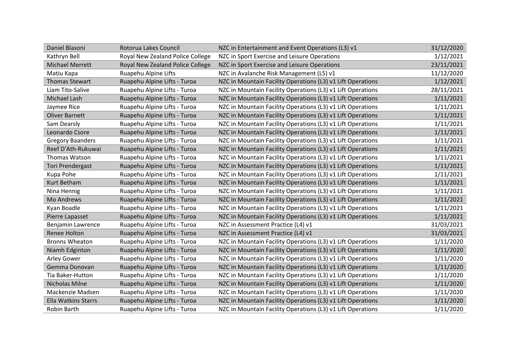| Daniel Blasoni             | Rotorua Lakes Council            | NZC in Entertainment and Event Operations (L3) v1           | 31/12/2020 |
|----------------------------|----------------------------------|-------------------------------------------------------------|------------|
| Kathryn Bell               | Royal New Zealand Police College | NZC in Sport Exercise and Leisure Operations                | 1/12/2021  |
| <b>Michael Merrett</b>     | Royal New Zealand Police College | NZC in Sport Exercise and Leisure Operations                | 23/11/2021 |
| Matiu Kapa                 | Ruapehu Alpine Lifts             | NZC in Avalanche Risk Management (L5) v1                    | 11/12/2020 |
| <b>Thomas Stewart</b>      | Ruapehu Alpine Lifts - Turoa     | NZC in Mountain Facility Operations (L3) v1 Lift Operations | 1/12/2021  |
| Liam Tito-Salive           | Ruapehu Alpine Lifts - Turoa     | NZC in Mountain Facility Operations (L3) v1 Lift Operations | 28/11/2021 |
| Michael Lash               | Ruapehu Alpine Lifts - Turoa     | NZC in Mountain Facility Operations (L3) v1 Lift Operations | 1/11/2021  |
| Jaymee Rice                | Ruapehu Alpine Lifts - Turoa     | NZC in Mountain Facility Operations (L3) v1 Lift Operations | 1/11/2021  |
| <b>Oliver Barnett</b>      | Ruapehu Alpine Lifts - Turoa     | NZC in Mountain Facility Operations (L3) v1 Lift Operations | 1/11/2021  |
| Sam Dearsly                | Ruapehu Alpine Lifts - Turoa     | NZC in Mountain Facility Operations (L3) v1 Lift Operations | 1/11/2021  |
| Leonardo Csore             | Ruapehu Alpine Lifts - Turoa     | NZC in Mountain Facility Operations (L3) v1 Lift Operations | 1/11/2021  |
| <b>Gregory Baanders</b>    | Ruapehu Alpine Lifts - Turoa     | NZC in Mountain Facility Operations (L3) v1 Lift Operations | 1/11/2021  |
| Reef D'Ath-Rukuwai         | Ruapehu Alpine Lifts - Turoa     | NZC in Mountain Facility Operations (L3) v1 Lift Operations | 1/11/2021  |
| Thomas Watson              | Ruapehu Alpine Lifts - Turoa     | NZC in Mountain Facility Operations (L3) v1 Lift Operations | 1/11/2021  |
| <b>Tori Prendergast</b>    | Ruapehu Alpine Lifts - Turoa     | NZC in Mountain Facility Operations (L3) v1 Lift Operations | 1/11/2021  |
| Kupa Pohe                  | Ruapehu Alpine Lifts - Turoa     | NZC in Mountain Facility Operations (L3) v1 Lift Operations | 1/11/2021  |
| Kurt Betham                | Ruapehu Alpine Lifts - Turoa     | NZC in Mountain Facility Operations (L3) v1 Lift Operations | 1/11/2021  |
| Nina Hennig                | Ruapehu Alpine Lifts - Turoa     | NZC in Mountain Facility Operations (L3) v1 Lift Operations | 1/11/2021  |
| <b>Mo Andrews</b>          | Ruapehu Alpine Lifts - Turoa     | NZC in Mountain Facility Operations (L3) v1 Lift Operations | 1/11/2021  |
| Kyan Boadle                | Ruapehu Alpine Lifts - Turoa     | NZC in Mountain Facility Operations (L3) v1 Lift Operations | 1/11/2021  |
| Pierre Lapasset            | Ruapehu Alpine Lifts - Turoa     | NZC in Mountain Facility Operations (L3) v1 Lift Operations | 1/11/2021  |
| Benjamin Lawrence          | Ruapehu Alpine Lifts - Turoa     | NZC in Assessment Practice (L4) v1                          | 31/03/2021 |
| <b>Renee Holton</b>        | Ruapehu Alpine Lifts - Turoa     | NZC in Assessment Practice (L4) v1                          | 31/03/2021 |
| <b>Bronns Wheaton</b>      | Ruapehu Alpine Lifts - Turoa     | NZC in Mountain Facility Operations (L3) v1 Lift Operations | 1/11/2020  |
| Niamh Edginton             | Ruapehu Alpine Lifts - Turoa     | NZC in Mountain Facility Operations (L3) v1 Lift Operations | 1/11/2020  |
| Arley Gower                | Ruapehu Alpine Lifts - Turoa     | NZC in Mountain Facility Operations (L3) v1 Lift Operations | 1/11/2020  |
| Gemma Donovan              | Ruapehu Alpine Lifts - Turoa     | NZC in Mountain Facility Operations (L3) v1 Lift Operations | 1/11/2020  |
| Tia Baker-Hutton           | Ruapehu Alpine Lifts - Turoa     | NZC in Mountain Facility Operations (L3) v1 Lift Operations | 1/11/2020  |
| Nicholas Milne             | Ruapehu Alpine Lifts - Turoa     | NZC in Mountain Facility Operations (L3) v1 Lift Operations | 1/11/2020  |
| Mackenzie Madsen           | Ruapehu Alpine Lifts - Turoa     | NZC in Mountain Facility Operations (L3) v1 Lift Operations | 1/11/2020  |
| <b>Ella Watkins Starrs</b> | Ruapehu Alpine Lifts - Turoa     | NZC in Mountain Facility Operations (L3) v1 Lift Operations | 1/11/2020  |
| Robin Barth                | Ruapehu Alpine Lifts - Turoa     | NZC in Mountain Facility Operations (L3) v1 Lift Operations | 1/11/2020  |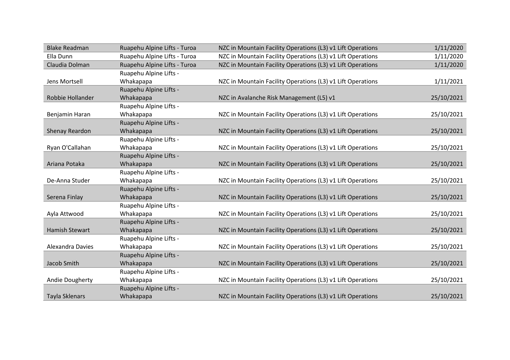| <b>Blake Readman</b>  | Ruapehu Alpine Lifts - Turoa | NZC in Mountain Facility Operations (L3) v1 Lift Operations | 1/11/2020  |
|-----------------------|------------------------------|-------------------------------------------------------------|------------|
| Ella Dunn             | Ruapehu Alpine Lifts - Turoa | NZC in Mountain Facility Operations (L3) v1 Lift Operations | 1/11/2020  |
| Claudia Dolman        | Ruapehu Alpine Lifts - Turoa | NZC in Mountain Facility Operations (L3) v1 Lift Operations | 1/11/2020  |
|                       | Ruapehu Alpine Lifts -       |                                                             |            |
| Jens Mortsell         | Whakapapa                    | NZC in Mountain Facility Operations (L3) v1 Lift Operations | 1/11/2021  |
|                       | Ruapehu Alpine Lifts -       |                                                             |            |
| Robbie Hollander      | Whakapapa                    | NZC in Avalanche Risk Management (L5) v1                    | 25/10/2021 |
|                       | Ruapehu Alpine Lifts -       |                                                             |            |
| Benjamin Haran        | Whakapapa                    | NZC in Mountain Facility Operations (L3) v1 Lift Operations | 25/10/2021 |
|                       | Ruapehu Alpine Lifts -       |                                                             |            |
| Shenay Reardon        | Whakapapa                    | NZC in Mountain Facility Operations (L3) v1 Lift Operations | 25/10/2021 |
|                       | Ruapehu Alpine Lifts -       |                                                             |            |
| Ryan O'Callahan       | Whakapapa                    | NZC in Mountain Facility Operations (L3) v1 Lift Operations | 25/10/2021 |
|                       | Ruapehu Alpine Lifts -       |                                                             |            |
| Ariana Potaka         | Whakapapa                    | NZC in Mountain Facility Operations (L3) v1 Lift Operations | 25/10/2021 |
|                       | Ruapehu Alpine Lifts -       |                                                             |            |
| De-Anna Studer        | Whakapapa                    | NZC in Mountain Facility Operations (L3) v1 Lift Operations | 25/10/2021 |
|                       | Ruapehu Alpine Lifts -       |                                                             |            |
| Serena Finlay         | Whakapapa                    | NZC in Mountain Facility Operations (L3) v1 Lift Operations | 25/10/2021 |
|                       | Ruapehu Alpine Lifts -       |                                                             |            |
| Ayla Attwood          | Whakapapa                    | NZC in Mountain Facility Operations (L3) v1 Lift Operations | 25/10/2021 |
|                       | Ruapehu Alpine Lifts -       |                                                             |            |
| <b>Hamish Stewart</b> | Whakapapa                    | NZC in Mountain Facility Operations (L3) v1 Lift Operations | 25/10/2021 |
|                       | Ruapehu Alpine Lifts -       |                                                             |            |
| Alexandra Davies      | Whakapapa                    | NZC in Mountain Facility Operations (L3) v1 Lift Operations | 25/10/2021 |
|                       | Ruapehu Alpine Lifts -       |                                                             |            |
| Jacob Smith           | Whakapapa                    | NZC in Mountain Facility Operations (L3) v1 Lift Operations | 25/10/2021 |
|                       | Ruapehu Alpine Lifts -       |                                                             |            |
| Andie Dougherty       | Whakapapa                    | NZC in Mountain Facility Operations (L3) v1 Lift Operations | 25/10/2021 |
|                       | Ruapehu Alpine Lifts -       |                                                             |            |
| Tayla Sklenars        | Whakapapa                    | NZC in Mountain Facility Operations (L3) v1 Lift Operations | 25/10/2021 |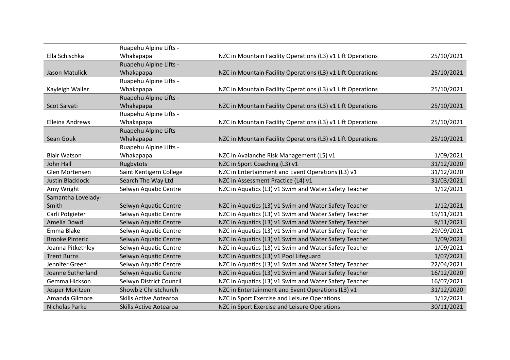|                         | Ruapehu Alpine Lifts -        |                                                             |            |
|-------------------------|-------------------------------|-------------------------------------------------------------|------------|
| Ella Schischka          | Whakapapa                     | NZC in Mountain Facility Operations (L3) v1 Lift Operations | 25/10/2021 |
|                         | Ruapehu Alpine Lifts -        |                                                             |            |
| <b>Jason Matulick</b>   | Whakapapa                     | NZC in Mountain Facility Operations (L3) v1 Lift Operations | 25/10/2021 |
|                         | Ruapehu Alpine Lifts -        |                                                             |            |
| Kayleigh Waller         | Whakapapa                     | NZC in Mountain Facility Operations (L3) v1 Lift Operations | 25/10/2021 |
|                         | Ruapehu Alpine Lifts -        |                                                             |            |
| Scot Salvati            | Whakapapa                     | NZC in Mountain Facility Operations (L3) v1 Lift Operations | 25/10/2021 |
|                         | Ruapehu Alpine Lifts -        |                                                             |            |
| Elleina Andrews         | Whakapapa                     | NZC in Mountain Facility Operations (L3) v1 Lift Operations | 25/10/2021 |
|                         | Ruapehu Alpine Lifts -        |                                                             |            |
| Sean Gouk               | Whakapapa                     | NZC in Mountain Facility Operations (L3) v1 Lift Operations | 25/10/2021 |
|                         | Ruapehu Alpine Lifts -        |                                                             |            |
| <b>Blair Watson</b>     | Whakapapa                     | NZC in Avalanche Risk Management (L5) v1                    | 1/09/2021  |
| John Hall               | Rugbytots                     | NZC in Sport Coaching (L3) v1                               | 31/12/2020 |
| Glen Mortensen          | Saint Kentigern College       | NZC in Entertainment and Event Operations (L3) v1           | 31/12/2020 |
| <b>Justin Blacklock</b> | Search The Way Ltd            | NZC in Assessment Practice (L4) v1                          | 31/03/2021 |
| Amy Wright              | Selwyn Aquatic Centre         | NZC in Aquatics (L3) v1 Swim and Water Safety Teacher       | 1/12/2021  |
| Samantha Lovelady-      |                               |                                                             |            |
| Smith                   | Selwyn Aquatic Centre         | NZC in Aquatics (L3) v1 Swim and Water Safety Teacher       | 1/12/2021  |
| Carli Potgieter         | Selwyn Aquatic Centre         | NZC in Aquatics (L3) v1 Swim and Water Safety Teacher       | 19/11/2021 |
| Amelia Dowd             | Selwyn Aquatic Centre         | NZC in Aquatics (L3) v1 Swim and Water Safety Teacher       | 9/11/2021  |
| Emma Blake              | Selwyn Aquatic Centre         | NZC in Aquatics (L3) v1 Swim and Water Safety Teacher       | 29/09/2021 |
| <b>Brooke Pinteric</b>  | Selwyn Aquatic Centre         | NZC in Aquatics (L3) v1 Swim and Water Safety Teacher       | 1/09/2021  |
| Joanna Pitkethley       | Selwyn Aquatic Centre         | NZC in Aquatics (L3) v1 Swim and Water Safety Teacher       | 1/09/2021  |
| <b>Trent Burns</b>      | Selwyn Aquatic Centre         | NZC in Aquatics (L3) v1 Pool Lifeguard                      | 1/07/2021  |
| Jennifer Green          | Selwyn Aquatic Centre         | NZC in Aquatics (L3) v1 Swim and Water Safety Teacher       | 22/04/2021 |
| Joanne Sutherland       | Selwyn Aquatic Centre         | NZC in Aquatics (L3) v1 Swim and Water Safety Teacher       | 16/12/2020 |
| Gemma Hickson           | Selwyn District Council       | NZC in Aquatics (L3) v1 Swim and Water Safety Teacher       | 16/07/2021 |
| Jesper Moritzen         | Showbiz Christchurch          | NZC in Entertainment and Event Operations (L3) v1           | 31/12/2020 |
| Amanda Gilmore          | Skills Active Aotearoa        | NZC in Sport Exercise and Leisure Operations                | 1/12/2021  |
| <b>Nicholas Parke</b>   | <b>Skills Active Aotearoa</b> | NZC in Sport Exercise and Leisure Operations                | 30/11/2021 |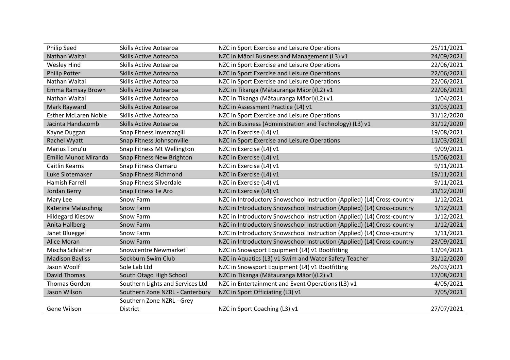| <b>Philip Seed</b>          | <b>Skills Active Aotearoa</b>    | NZC in Sport Exercise and Leisure Operations                            | 25/11/2021 |
|-----------------------------|----------------------------------|-------------------------------------------------------------------------|------------|
| Nathan Waitai               | <b>Skills Active Aotearoa</b>    | NZC in Māori Business and Management (L3) v1                            | 24/09/2021 |
| <b>Wesley Hind</b>          | Skills Active Aotearoa           | NZC in Sport Exercise and Leisure Operations                            | 22/06/2021 |
| <b>Philip Potter</b>        | <b>Skills Active Aotearoa</b>    | NZC in Sport Exercise and Leisure Operations                            | 22/06/2021 |
| Nathan Waitai               | <b>Skills Active Aotearoa</b>    | NZC in Sport Exercise and Leisure Operations                            | 22/06/2021 |
| Emma Ramsay Brown           | <b>Skills Active Aotearoa</b>    | NZC in Tikanga (Mātauranga Māori)(L2) v1                                | 22/06/2021 |
| Nathan Waitai               | Skills Active Aotearoa           | NZC in Tikanga (Mātauranga Māori)(L2) v1                                | 1/04/2021  |
| Mark Rayward                | <b>Skills Active Aotearoa</b>    | NZC in Assessment Practice (L4) v1                                      | 31/03/2021 |
| <b>Esther McLaren Noble</b> | Skills Active Aotearoa           | NZC in Sport Exercise and Leisure Operations                            | 31/12/2020 |
| Jacinta Handscomb           | <b>Skills Active Aotearoa</b>    | NZC in Business (Administration and Technology) (L3) v1                 | 31/12/2020 |
| Kayne Duggan                | Snap Fitness Invercargill        | NZC in Exercise (L4) v1                                                 | 19/08/2021 |
| Rachel Wyatt                | Snap Fitness Johnsonville        | NZC in Sport Exercise and Leisure Operations                            | 11/03/2021 |
| Marius Tonu'u               | Snap Fitness Mt Wellington       | NZC in Exercise (L4) v1                                                 | 9/09/2021  |
| Emilio Munoz Miranda        | Snap Fitness New Brighton        | NZC in Exercise (L4) v1                                                 | 15/06/2021 |
| Caitlin Kearns              | Snap Fitness Oamaru              | NZC in Exercise (L4) v1                                                 | 9/11/2021  |
| Luke Slotemaker             | Snap Fitness Richmond            | NZC in Exercise (L4) v1                                                 | 19/11/2021 |
| <b>Hamish Farrell</b>       | Snap Fitness Silverdale          | NZC in Exercise (L4) v1                                                 | 9/11/2021  |
| Jordan Berry                | Snap Fitness Te Aro              | NZC in Exercise (L4) v1                                                 | 31/12/2020 |
| Mary Lee                    | Snow Farm                        | NZC in Introductory Snowschool Instruction (Applied) (L4) Cross-country | 1/12/2021  |
| Katerina Maluschnig         | <b>Snow Farm</b>                 | NZC in Introductory Snowschool Instruction (Applied) (L4) Cross-country | 1/12/2021  |
| <b>Hildegard Kiesow</b>     | Snow Farm                        | NZC in Introductory Snowschool Instruction (Applied) (L4) Cross-country | 1/12/2021  |
| Anita Hallberg              | <b>Snow Farm</b>                 | NZC in Introductory Snowschool Instruction (Applied) (L4) Cross-country | 1/12/2021  |
| Janet Blueggel              | Snow Farm                        | NZC in Introductory Snowschool Instruction (Applied) (L4) Cross-country | 1/11/2021  |
| Alice Moran                 | <b>Snow Farm</b>                 | NZC in Introductory Snowschool Instruction (Applied) (L4) Cross-country | 23/09/2021 |
| Mischa Schlatter            | <b>Snowcentre Newmarket</b>      | NZC in Snowsport Equipment (L4) v1 Bootfitting                          | 13/04/2021 |
| <b>Madison Bayliss</b>      | Sockburn Swim Club               | NZC in Aquatics (L3) v1 Swim and Water Safety Teacher                   | 31/12/2020 |
| Jason Woolf                 | Sole Lab Ltd                     | NZC in Snowsport Equipment (L4) v1 Bootfitting                          | 26/03/2021 |
| <b>David Thomas</b>         | South Otago High School          | NZC in Tikanga (Mātauranga Māori)(L2) v1                                | 17/08/2021 |
| Thomas Gordon               | Southern Lights and Services Ltd | NZC in Entertainment and Event Operations (L3) v1                       | 4/05/2021  |
| Jason Wilson                | Southern Zone NZRL - Canterbury  | NZC in Sport Officiating (L3) v1                                        | 7/05/2021  |
|                             | Southern Zone NZRL - Grey        |                                                                         |            |
| Gene Wilson                 | District                         | NZC in Sport Coaching (L3) v1                                           | 27/07/2021 |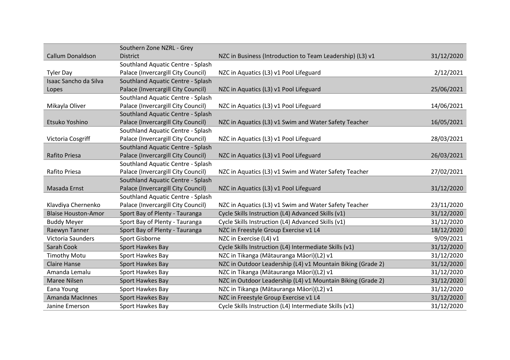|                            | Southern Zone NZRL - Grey          |                                                             |            |
|----------------------------|------------------------------------|-------------------------------------------------------------|------------|
| Callum Donaldson           | <b>District</b>                    | NZC in Business (Introduction to Team Leadership) (L3) v1   | 31/12/2020 |
|                            | Southland Aquatic Centre - Splash  |                                                             |            |
| <b>Tyler Day</b>           | Palace (Invercargill City Council) | NZC in Aquatics (L3) v1 Pool Lifeguard                      | 2/12/2021  |
| Isaac Sancho da Silva      | Southland Aquatic Centre - Splash  |                                                             |            |
| Lopes                      | Palace (Invercargill City Council) | NZC in Aquatics (L3) v1 Pool Lifeguard                      | 25/06/2021 |
|                            | Southland Aquatic Centre - Splash  |                                                             |            |
| Mikayla Oliver             | Palace (Invercargill City Council) | NZC in Aquatics (L3) v1 Pool Lifeguard                      | 14/06/2021 |
|                            | Southland Aquatic Centre - Splash  |                                                             |            |
| Etsuko Yoshino             | Palace (Invercargill City Council) | NZC in Aquatics (L3) v1 Swim and Water Safety Teacher       | 16/05/2021 |
|                            | Southland Aquatic Centre - Splash  |                                                             |            |
| Victoria Cosgriff          | Palace (Invercargill City Council) | NZC in Aquatics (L3) v1 Pool Lifeguard                      | 28/03/2021 |
|                            | Southland Aquatic Centre - Splash  |                                                             |            |
| Rafito Priesa              | Palace (Invercargill City Council) | NZC in Aquatics (L3) v1 Pool Lifeguard                      | 26/03/2021 |
|                            | Southland Aquatic Centre - Splash  |                                                             |            |
| Rafito Priesa              | Palace (Invercargill City Council) | NZC in Aquatics (L3) v1 Swim and Water Safety Teacher       | 27/02/2021 |
|                            | Southland Aquatic Centre - Splash  |                                                             |            |
| Masada Ernst               | Palace (Invercargill City Council) | NZC in Aquatics (L3) v1 Pool Lifeguard                      | 31/12/2020 |
|                            | Southland Aquatic Centre - Splash  |                                                             |            |
| Klavdiya Chernenko         | Palace (Invercargill City Council) | NZC in Aquatics (L3) v1 Swim and Water Safety Teacher       | 23/11/2020 |
| <b>Blaise Houston-Amor</b> | Sport Bay of Plenty - Tauranga     | Cycle Skills Instruction (L4) Advanced Skills (v1)          | 31/12/2020 |
| <b>Buddy Meyer</b>         | Sport Bay of Plenty - Tauranga     | Cycle Skills Instruction (L4) Advanced Skills (v1)          | 31/12/2020 |
| Raewyn Tanner              | Sport Bay of Plenty - Tauranga     | NZC in Freestyle Group Exercise v1 L4                       | 18/12/2020 |
| Victoria Saunders          | Sport Gisborne                     | NZC in Exercise (L4) v1                                     | 9/09/2021  |
| Sarah Cook                 | Sport Hawkes Bay                   | Cycle Skills Instruction (L4) Intermediate Skills (v1)      | 31/12/2020 |
| <b>Timothy Motu</b>        | Sport Hawkes Bay                   | NZC in Tikanga (Mātauranga Māori)(L2) v1                    | 31/12/2020 |
| <b>Claire Hanse</b>        | Sport Hawkes Bay                   | NZC in Outdoor Leadership (L4) v1 Mountain Biking (Grade 2) | 31/12/2020 |
| Amanda Lemalu              | Sport Hawkes Bay                   | NZC in Tikanga (Mātauranga Māori)(L2) v1                    | 31/12/2020 |
| Maree Nilsen               | Sport Hawkes Bay                   | NZC in Outdoor Leadership (L4) v1 Mountain Biking (Grade 2) | 31/12/2020 |
| Eana Young                 | Sport Hawkes Bay                   | NZC in Tikanga (Mātauranga Māori)(L2) v1                    | 31/12/2020 |
| <b>Amanda MacInnes</b>     | Sport Hawkes Bay                   | NZC in Freestyle Group Exercise v1 L4                       | 31/12/2020 |
| Janine Emerson             | Sport Hawkes Bay                   | Cycle Skills Instruction (L4) Intermediate Skills (v1)      | 31/12/2020 |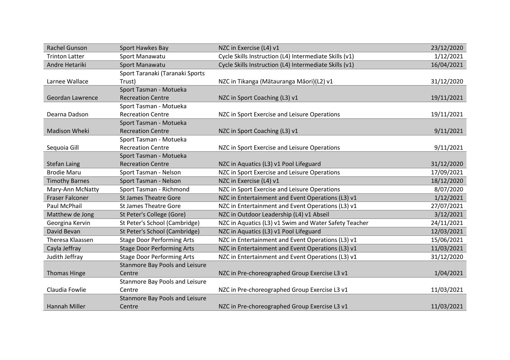| Rachel Gunson          | Sport Hawkes Bay                  | NZC in Exercise (L4) v1                                | 23/12/2020 |
|------------------------|-----------------------------------|--------------------------------------------------------|------------|
| <b>Trinton Latter</b>  | Sport Manawatu                    | Cycle Skills Instruction (L4) Intermediate Skills (v1) | 1/12/2021  |
| Andre Hetariki         | Sport Manawatu                    | Cycle Skills Instruction (L4) Intermediate Skills (v1) | 16/04/2021 |
|                        | Sport Taranaki (Taranaki Sports   |                                                        |            |
| Larnee Wallace         | Trust)                            | NZC in Tikanga (Mātauranga Māori)(L2) v1               | 31/12/2020 |
|                        | Sport Tasman - Motueka            |                                                        |            |
| Geordan Lawrence       | <b>Recreation Centre</b>          | NZC in Sport Coaching (L3) v1                          | 19/11/2021 |
|                        | Sport Tasman - Motueka            |                                                        |            |
| Dearna Dadson          | <b>Recreation Centre</b>          | NZC in Sport Exercise and Leisure Operations           | 19/11/2021 |
|                        | Sport Tasman - Motueka            |                                                        |            |
| <b>Madison Wheki</b>   | <b>Recreation Centre</b>          | NZC in Sport Coaching (L3) v1                          | 9/11/2021  |
|                        | Sport Tasman - Motueka            |                                                        |            |
| Sequoia Gill           | <b>Recreation Centre</b>          | NZC in Sport Exercise and Leisure Operations           | 9/11/2021  |
|                        | Sport Tasman - Motueka            |                                                        |            |
| <b>Stefan Laing</b>    | <b>Recreation Centre</b>          | NZC in Aquatics (L3) v1 Pool Lifeguard                 | 31/12/2020 |
| <b>Brodie Maru</b>     | Sport Tasman - Nelson             | NZC in Sport Exercise and Leisure Operations           | 17/09/2021 |
| <b>Timothy Barnes</b>  | Sport Tasman - Nelson             | NZC in Exercise (L4) v1                                | 18/12/2020 |
| Mary-Ann McNatty       | Sport Tasman - Richmond           | NZC in Sport Exercise and Leisure Operations           | 8/07/2020  |
| <b>Fraser Falconer</b> | <b>St James Theatre Gore</b>      | NZC in Entertainment and Event Operations (L3) v1      | 1/12/2021  |
| Paul McPhail           | <b>St James Theatre Gore</b>      | NZC in Entertainment and Event Operations (L3) v1      | 27/07/2021 |
| Matthew de Jong        | St Peter's College (Gore)         | NZC in Outdoor Leadership (L4) v1 Abseil               | 3/12/2021  |
| Georgina Kervin        | St Peter's School (Cambridge)     | NZC in Aquatics (L3) v1 Swim and Water Safety Teacher  | 24/11/2021 |
| David Bevan            | St Peter's School (Cambridge)     | NZC in Aquatics (L3) v1 Pool Lifeguard                 | 12/03/2021 |
| Theresa Klaassen       | <b>Stage Door Performing Arts</b> | NZC in Entertainment and Event Operations (L3) v1      | 15/06/2021 |
| Cayla Jeffray          | <b>Stage Door Performing Arts</b> | NZC in Entertainment and Event Operations (L3) v1      | 11/03/2021 |
| Judith Jeffray         | <b>Stage Door Performing Arts</b> | NZC in Entertainment and Event Operations (L3) v1      | 31/12/2020 |
|                        | Stanmore Bay Pools and Leisure    |                                                        |            |
| <b>Thomas Hinge</b>    | Centre                            | NZC in Pre-choreographed Group Exercise L3 v1          | 1/04/2021  |
|                        | Stanmore Bay Pools and Leisure    |                                                        |            |
| Claudia Fowlie         | Centre                            | NZC in Pre-choreographed Group Exercise L3 v1          | 11/03/2021 |
|                        | Stanmore Bay Pools and Leisure    |                                                        |            |
| <b>Hannah Miller</b>   | Centre                            | NZC in Pre-choreographed Group Exercise L3 v1          | 11/03/2021 |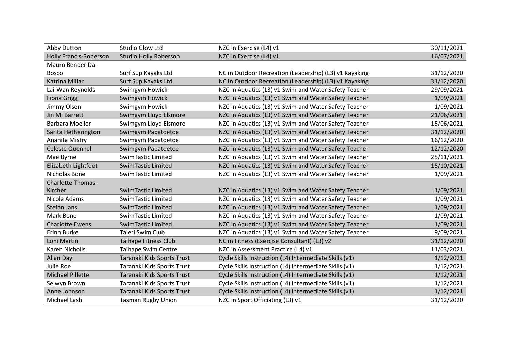| Abby Dutton              | Studio Glow Ltd              | NZC in Exercise (L4) v1                                | 30/11/2021 |
|--------------------------|------------------------------|--------------------------------------------------------|------------|
| Holly Francis-Roberson   | <b>Studio Holly Roberson</b> | NZC in Exercise (L4) v1                                | 16/07/2021 |
| <b>Mauro Bender Dal</b>  |                              |                                                        |            |
| <b>Bosco</b>             | Surf Sup Kayaks Ltd          | NC in Outdoor Recreation (Leadership) (L3) v1 Kayaking | 31/12/2020 |
| <b>Katrina Millar</b>    | Surf Sup Kayaks Ltd          | NC in Outdoor Recreation (Leadership) (L3) v1 Kayaking | 31/12/2020 |
| Lai-Wan Reynolds         | Swimgym Howick               | NZC in Aquatics (L3) v1 Swim and Water Safety Teacher  | 29/09/2021 |
| <b>Fiona Grigg</b>       | Swimgym Howick               | NZC in Aquatics (L3) v1 Swim and Water Safety Teacher  | 1/09/2021  |
| Jimmy Olsen              | Swimgym Howick               | NZC in Aquatics (L3) v1 Swim and Water Safety Teacher  | 1/09/2021  |
| Jin Mi Barrett           | Swimgym Lloyd Elsmore        | NZC in Aquatics (L3) v1 Swim and Water Safety Teacher  | 21/06/2021 |
| Barbara Moeller          | Swimgym Lloyd Elsmore        | NZC in Aquatics (L3) v1 Swim and Water Safety Teacher  | 15/06/2021 |
| Sarita Hetherington      | Swimgym Papatoetoe           | NZC in Aquatics (L3) v1 Swim and Water Safety Teacher  | 31/12/2020 |
| Anahita Mistry           | Swimgym Papatoetoe           | NZC in Aquatics (L3) v1 Swim and Water Safety Teacher  | 16/12/2020 |
| <b>Celeste Quennell</b>  | Swimgym Papatoetoe           | NZC in Aquatics (L3) v1 Swim and Water Safety Teacher  | 12/12/2020 |
| Mae Byrne                | SwimTastic Limited           | NZC in Aquatics (L3) v1 Swim and Water Safety Teacher  | 25/11/2021 |
| Elizabeth Lightfoot      | SwimTastic Limited           | NZC in Aquatics (L3) v1 Swim and Water Safety Teacher  | 15/10/2021 |
| Nicholas Bone            | SwimTastic Limited           | NZC in Aquatics (L3) v1 Swim and Water Safety Teacher  | 1/09/2021  |
| <b>Charlotte Thomas-</b> |                              |                                                        |            |
| Kircher                  | SwimTastic Limited           | NZC in Aquatics (L3) v1 Swim and Water Safety Teacher  | 1/09/2021  |
| Nicola Adams             | SwimTastic Limited           | NZC in Aquatics (L3) v1 Swim and Water Safety Teacher  | 1/09/2021  |
| Stefan Jans              | SwimTastic Limited           | NZC in Aquatics (L3) v1 Swim and Water Safety Teacher  | 1/09/2021  |
| Mark Bone                | SwimTastic Limited           | NZC in Aquatics (L3) v1 Swim and Water Safety Teacher  | 1/09/2021  |
| <b>Charlotte Ewens</b>   | <b>SwimTastic Limited</b>    | NZC in Aquatics (L3) v1 Swim and Water Safety Teacher  | 1/09/2021  |
| Erinn Burke              | Taieri Swim Club             | NZC in Aquatics (L3) v1 Swim and Water Safety Teacher  | 9/09/2021  |
| Loni Martin              | <b>Taihape Fitness Club</b>  | NC in Fitness (Exercise Consultant) (L3) v2            | 31/12/2020 |
| Karen Nicholls           | <b>Taihape Swim Centre</b>   | NZC in Assessment Practice (L4) v1                     | 11/03/2021 |
| Allan Day                | Taranaki Kids Sports Trust   | Cycle Skills Instruction (L4) Intermediate Skills (v1) | 1/12/2021  |
| Julie Roe                | Taranaki Kids Sports Trust   | Cycle Skills Instruction (L4) Intermediate Skills (v1) | 1/12/2021  |
| <b>Michael Pillette</b>  | Taranaki Kids Sports Trust   | Cycle Skills Instruction (L4) Intermediate Skills (v1) | 1/12/2021  |
| Selwyn Brown             | Taranaki Kids Sports Trust   | Cycle Skills Instruction (L4) Intermediate Skills (v1) | 1/12/2021  |
| Anne Johnson             | Taranaki Kids Sports Trust   | Cycle Skills Instruction (L4) Intermediate Skills (v1) | 1/12/2021  |
| Michael Lash             | <b>Tasman Rugby Union</b>    | NZC in Sport Officiating (L3) v1                       | 31/12/2020 |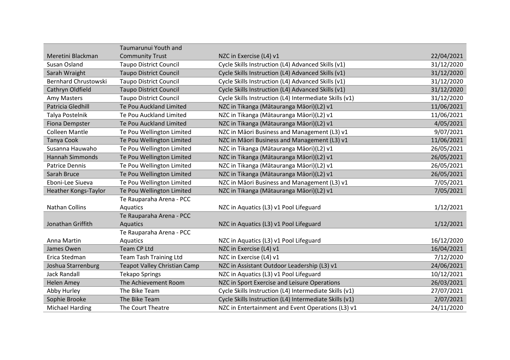|                             | Taumarunui Youth and                |                                                        |            |
|-----------------------------|-------------------------------------|--------------------------------------------------------|------------|
| Meretini Blackman           | <b>Community Trust</b>              | NZC in Exercise (L4) v1                                | 22/04/2021 |
| Susan Osland                | <b>Taupo District Council</b>       | Cycle Skills Instruction (L4) Advanced Skills (v1)     | 31/12/2020 |
| Sarah Wraight               | <b>Taupo District Council</b>       | Cycle Skills Instruction (L4) Advanced Skills (v1)     | 31/12/2020 |
| <b>Bernhard Chrustowski</b> | <b>Taupo District Council</b>       | Cycle Skills Instruction (L4) Advanced Skills (v1)     | 31/12/2020 |
| Cathryn Oldfield            | <b>Taupo District Council</b>       | Cycle Skills Instruction (L4) Advanced Skills (v1)     | 31/12/2020 |
| Amy Masters                 | <b>Taupo District Council</b>       | Cycle Skills Instruction (L4) Intermediate Skills (v1) | 31/12/2020 |
| Patricia Gledhill           | Te Pou Auckland Limited             | NZC in Tikanga (Mātauranga Māori)(L2) v1               | 11/06/2021 |
| Talya Postelnik             | Te Pou Auckland Limited             | NZC in Tikanga (Mātauranga Māori)(L2) v1               | 11/06/2021 |
| <b>Fiona Dempster</b>       | Te Pou Auckland Limited             | NZC in Tikanga (Mātauranga Māori)(L2) v1               | 4/05/2021  |
| <b>Colleen Mantle</b>       | Te Pou Wellington Limited           | NZC in Māori Business and Management (L3) v1           | 9/07/2021  |
| Tanya Cook                  | Te Pou Wellington Limited           | NZC in Māori Business and Management (L3) v1           | 11/06/2021 |
| Susanna Hauwaho             | Te Pou Wellington Limited           | NZC in Tikanga (Mātauranga Māori)(L2) v1               | 26/05/2021 |
| <b>Hannah Simmonds</b>      | Te Pou Wellington Limited           | NZC in Tikanga (Mātauranga Māori)(L2) v1               | 26/05/2021 |
| <b>Patrice Dennis</b>       | Te Pou Wellington Limited           | NZC in Tikanga (Mātauranga Māori)(L2) v1               | 26/05/2021 |
| Sarah Bruce                 | Te Pou Wellington Limited           | NZC in Tikanga (Mātauranga Māori)(L2) v1               | 26/05/2021 |
| Eboni-Lee Siueva            | Te Pou Wellington Limited           | NZC in Māori Business and Management (L3) v1           | 7/05/2021  |
| Heather Kongs-Taylor        | Te Pou Wellington Limited           | NZC in Tikanga (Mātauranga Māori)(L2) v1               | 7/05/2021  |
|                             | Te Rauparaha Arena - PCC            |                                                        |            |
| <b>Nathan Collins</b>       | Aquatics                            | NZC in Aquatics (L3) v1 Pool Lifeguard                 | 1/12/2021  |
|                             | Te Rauparaha Arena - PCC            |                                                        |            |
| Jonathan Griffith           | Aquatics                            | NZC in Aquatics (L3) v1 Pool Lifeguard                 | 1/12/2021  |
|                             | Te Rauparaha Arena - PCC            |                                                        |            |
| Anna Martin                 | Aquatics                            | NZC in Aquatics (L3) v1 Pool Lifeguard                 | 16/12/2020 |
| James Owen                  | Team CP Ltd                         | NZC in Exercise (L4) v1                                | 16/04/2021 |
| Erica Stedman               | <b>Team Tash Training Ltd</b>       | NZC in Exercise (L4) v1                                | 7/12/2020  |
| Joshua Starrenburg          | <b>Teapot Valley Christian Camp</b> | NZC in Assistant Outdoor Leadership (L3) v1            | 24/06/2021 |
| <b>Jack Randall</b>         | <b>Tekapo Springs</b>               | NZC in Aquatics (L3) v1 Pool Lifeguard                 | 10/12/2021 |
| <b>Helen Amey</b>           | The Achievement Room                | NZC in Sport Exercise and Leisure Operations           | 26/03/2021 |
| Abby Hurley                 | The Bike Team                       | Cycle Skills Instruction (L4) Intermediate Skills (v1) | 27/07/2021 |
| Sophie Brooke               | The Bike Team                       | Cycle Skills Instruction (L4) Intermediate Skills (v1) | 2/07/2021  |
| <b>Michael Harding</b>      | The Court Theatre                   | NZC in Entertainment and Event Operations (L3) v1      | 24/11/2020 |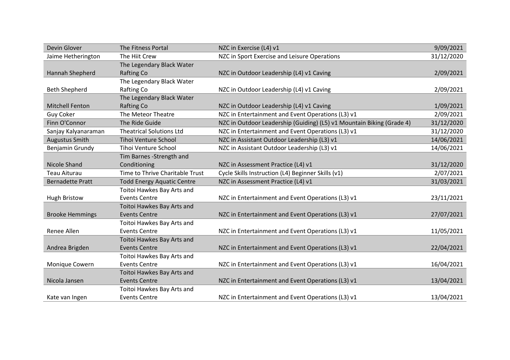| Devin Glover            | The Fitness Portal                | NZC in Exercise (L4) v1                                               | 9/09/2021  |
|-------------------------|-----------------------------------|-----------------------------------------------------------------------|------------|
| Jaime Hetherington      | The Hiit Crew                     | NZC in Sport Exercise and Leisure Operations                          | 31/12/2020 |
|                         | The Legendary Black Water         |                                                                       |            |
| Hannah Shepherd         | <b>Rafting Co</b>                 | NZC in Outdoor Leadership (L4) v1 Caving                              | 2/09/2021  |
|                         | The Legendary Black Water         |                                                                       |            |
| <b>Beth Shepherd</b>    | Rafting Co                        | NZC in Outdoor Leadership (L4) v1 Caving                              | 2/09/2021  |
|                         | The Legendary Black Water         |                                                                       |            |
| <b>Mitchell Fenton</b>  | <b>Rafting Co</b>                 | NZC in Outdoor Leadership (L4) v1 Caving                              | 1/09/2021  |
| <b>Guy Coker</b>        | The Meteor Theatre                | NZC in Entertainment and Event Operations (L3) v1                     | 2/09/2021  |
| Finn O'Connor           | The Ride Guide                    | NZC in Outdoor Leadership (Guiding) (L5) v1 Mountain Biking (Grade 4) | 31/12/2020 |
| Sanjay Kalyanaraman     | <b>Theatrical Solutions Ltd</b>   | NZC in Entertainment and Event Operations (L3) v1                     | 31/12/2020 |
| <b>Augustus Smith</b>   | <b>Tihoi Venture School</b>       | NZC in Assistant Outdoor Leadership (L3) v1                           | 14/06/2021 |
| Benjamin Grundy         | Tihoi Venture School              | NZC in Assistant Outdoor Leadership (L3) v1                           | 14/06/2021 |
|                         | Tim Barnes - Strength and         |                                                                       |            |
| Nicole Shand            | Conditioning                      | NZC in Assessment Practice (L4) v1                                    | 31/12/2020 |
| Teau Aiturau            | Time to Thrive Charitable Trust   | Cycle Skills Instruction (L4) Beginner Skills (v1)                    | 2/07/2021  |
| <b>Bernadette Pratt</b> | <b>Todd Energy Aquatic Centre</b> | NZC in Assessment Practice (L4) v1                                    | 31/03/2021 |
|                         | Toitoi Hawkes Bay Arts and        |                                                                       |            |
| <b>Hugh Bristow</b>     | <b>Events Centre</b>              | NZC in Entertainment and Event Operations (L3) v1                     | 23/11/2021 |
|                         | Toitoi Hawkes Bay Arts and        |                                                                       |            |
| <b>Brooke Hemmings</b>  | <b>Events Centre</b>              | NZC in Entertainment and Event Operations (L3) v1                     | 27/07/2021 |
|                         | Toitoi Hawkes Bay Arts and        |                                                                       |            |
| Renee Allen             | <b>Events Centre</b>              | NZC in Entertainment and Event Operations (L3) v1                     | 11/05/2021 |
|                         | Toitoi Hawkes Bay Arts and        |                                                                       |            |
| Andrea Brigden          | <b>Events Centre</b>              | NZC in Entertainment and Event Operations (L3) v1                     | 22/04/2021 |
|                         | Toitoi Hawkes Bay Arts and        |                                                                       |            |
| Monique Cowern          | <b>Events Centre</b>              | NZC in Entertainment and Event Operations (L3) v1                     | 16/04/2021 |
|                         | Toitoi Hawkes Bay Arts and        |                                                                       |            |
| Nicola Jansen           | <b>Events Centre</b>              | NZC in Entertainment and Event Operations (L3) v1                     | 13/04/2021 |
|                         | Toitoi Hawkes Bay Arts and        |                                                                       |            |
| Kate van Ingen          | <b>Events Centre</b>              | NZC in Entertainment and Event Operations (L3) v1                     | 13/04/2021 |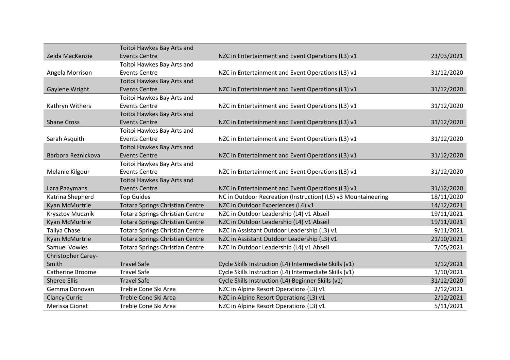|                      | Toitoi Hawkes Bay Arts and             |                                                               |            |
|----------------------|----------------------------------------|---------------------------------------------------------------|------------|
| Zelda MacKenzie      | <b>Events Centre</b>                   | NZC in Entertainment and Event Operations (L3) v1             | 23/03/2021 |
|                      | Toitoi Hawkes Bay Arts and             |                                                               |            |
| Angela Morrison      | <b>Events Centre</b>                   | NZC in Entertainment and Event Operations (L3) v1             | 31/12/2020 |
|                      | Toitoi Hawkes Bay Arts and             |                                                               |            |
| Gaylene Wright       | <b>Events Centre</b>                   | NZC in Entertainment and Event Operations (L3) v1             | 31/12/2020 |
|                      | Toitoi Hawkes Bay Arts and             |                                                               |            |
| Kathryn Withers      | <b>Events Centre</b>                   | NZC in Entertainment and Event Operations (L3) v1             | 31/12/2020 |
|                      | Toitoi Hawkes Bay Arts and             |                                                               |            |
| <b>Shane Cross</b>   | <b>Events Centre</b>                   | NZC in Entertainment and Event Operations (L3) v1             | 31/12/2020 |
|                      | Toitoi Hawkes Bay Arts and             |                                                               |            |
| Sarah Asquith        | <b>Events Centre</b>                   | NZC in Entertainment and Event Operations (L3) v1             | 31/12/2020 |
|                      | Toitoi Hawkes Bay Arts and             |                                                               |            |
| Barbora Reznickova   | <b>Events Centre</b>                   | NZC in Entertainment and Event Operations (L3) v1             | 31/12/2020 |
|                      | Toitoi Hawkes Bay Arts and             |                                                               |            |
| Melanie Kilgour      | <b>Events Centre</b>                   | NZC in Entertainment and Event Operations (L3) v1             | 31/12/2020 |
|                      | Toitoi Hawkes Bay Arts and             |                                                               |            |
| Lara Paaymans        | <b>Events Centre</b>                   | NZC in Entertainment and Event Operations (L3) v1             | 31/12/2020 |
| Katrina Shepherd     | <b>Top Guides</b>                      | NC in Outdoor Recreation (Instruction) (L5) v3 Mountaineering | 18/11/2020 |
| Kyan McMurtrie       | <b>Totara Springs Christian Centre</b> | NZC in Outdoor Experiences (L4) v1                            | 14/12/2021 |
| Krysztov Mucznik     | <b>Totara Springs Christian Centre</b> | NZC in Outdoor Leadership (L4) v1 Abseil                      | 19/11/2021 |
| Kyan McMurtrie       | <b>Totara Springs Christian Centre</b> | NZC in Outdoor Leadership (L4) v1 Abseil                      | 19/11/2021 |
| Taliya Chase         | <b>Totara Springs Christian Centre</b> | NZC in Assistant Outdoor Leadership (L3) v1                   | 9/11/2021  |
| Kyan McMurtrie       | <b>Totara Springs Christian Centre</b> | NZC in Assistant Outdoor Leadership (L3) v1                   | 21/10/2021 |
| <b>Samuel Vowles</b> | <b>Totara Springs Christian Centre</b> | NZC in Outdoor Leadership (L4) v1 Abseil                      | 7/05/2021  |
| Christopher Carey-   |                                        |                                                               |            |
|                      |                                        |                                                               |            |
| Smith                | <b>Travel Safe</b>                     | Cycle Skills Instruction (L4) Intermediate Skills (v1)        | 1/12/2021  |
| Catherine Broome     | <b>Travel Safe</b>                     | Cycle Skills Instruction (L4) Intermediate Skills (v1)        | 1/10/2021  |
| <b>Sheree Ellis</b>  | <b>Travel Safe</b>                     | Cycle Skills Instruction (L4) Beginner Skills (v1)            | 31/12/2020 |
| Gemma Donovan        | Treble Cone Ski Area                   | NZC in Alpine Resort Operations (L3) v1                       | 2/12/2021  |
| <b>Clancy Currie</b> | Treble Cone Ski Area                   | NZC in Alpine Resort Operations (L3) v1                       | 2/12/2021  |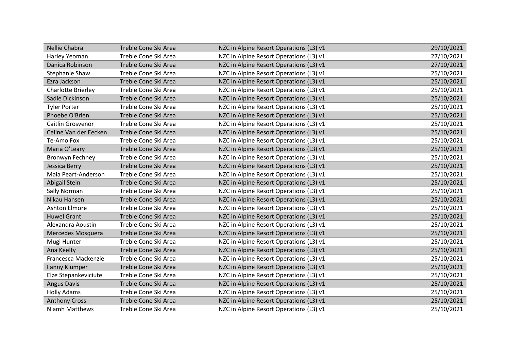| Nellie Chabra         | Treble Cone Ski Area | NZC in Alpine Resort Operations (L3) v1 | 29/10/2021 |
|-----------------------|----------------------|-----------------------------------------|------------|
| Harley Yeoman         | Treble Cone Ski Area | NZC in Alpine Resort Operations (L3) v1 | 27/10/2021 |
| Danica Robinson       | Treble Cone Ski Area | NZC in Alpine Resort Operations (L3) v1 | 27/10/2021 |
| <b>Stephanie Shaw</b> | Treble Cone Ski Area | NZC in Alpine Resort Operations (L3) v1 | 25/10/2021 |
| Ezra Jackson          | Treble Cone Ski Area | NZC in Alpine Resort Operations (L3) v1 | 25/10/2021 |
| Charlotte Brierley    | Treble Cone Ski Area | NZC in Alpine Resort Operations (L3) v1 | 25/10/2021 |
| Sadie Dickinson       | Treble Cone Ski Area | NZC in Alpine Resort Operations (L3) v1 | 25/10/2021 |
| <b>Tyler Porter</b>   | Treble Cone Ski Area | NZC in Alpine Resort Operations (L3) v1 | 25/10/2021 |
| Phoebe O'Brien        | Treble Cone Ski Area | NZC in Alpine Resort Operations (L3) v1 | 25/10/2021 |
| Caitlin Grosvenor     | Treble Cone Ski Area | NZC in Alpine Resort Operations (L3) v1 | 25/10/2021 |
| Celine Van der Eecken | Treble Cone Ski Area | NZC in Alpine Resort Operations (L3) v1 | 25/10/2021 |
| Te-Amo Fox            | Treble Cone Ski Area | NZC in Alpine Resort Operations (L3) v1 | 25/10/2021 |
| Maria O'Leary         | Treble Cone Ski Area | NZC in Alpine Resort Operations (L3) v1 | 25/10/2021 |
| Bronwyn Fechney       | Treble Cone Ski Area | NZC in Alpine Resort Operations (L3) v1 | 25/10/2021 |
| Jessica Berry         | Treble Cone Ski Area | NZC in Alpine Resort Operations (L3) v1 | 25/10/2021 |
| Maia Peart-Anderson   | Treble Cone Ski Area | NZC in Alpine Resort Operations (L3) v1 | 25/10/2021 |
| Abigail Stein         | Treble Cone Ski Area | NZC in Alpine Resort Operations (L3) v1 | 25/10/2021 |
| Sally Norman          | Treble Cone Ski Area | NZC in Alpine Resort Operations (L3) v1 | 25/10/2021 |
| Nikau Hansen          | Treble Cone Ski Area | NZC in Alpine Resort Operations (L3) v1 | 25/10/2021 |
| <b>Ashton Elmore</b>  | Treble Cone Ski Area | NZC in Alpine Resort Operations (L3) v1 | 25/10/2021 |
| <b>Huwel Grant</b>    | Treble Cone Ski Area | NZC in Alpine Resort Operations (L3) v1 | 25/10/2021 |
| Alexandra Aoustin     | Treble Cone Ski Area | NZC in Alpine Resort Operations (L3) v1 | 25/10/2021 |
| Mercedes Mosquera     | Treble Cone Ski Area | NZC in Alpine Resort Operations (L3) v1 | 25/10/2021 |
| Mugi Hunter           | Treble Cone Ski Area | NZC in Alpine Resort Operations (L3) v1 | 25/10/2021 |
| Ana Keelty            | Treble Cone Ski Area | NZC in Alpine Resort Operations (L3) v1 | 25/10/2021 |
| Francesca Mackenzie   | Treble Cone Ski Area | NZC in Alpine Resort Operations (L3) v1 | 25/10/2021 |
| Fanny Klumper         | Treble Cone Ski Area | NZC in Alpine Resort Operations (L3) v1 | 25/10/2021 |
| Elze Stepankeviciute  | Treble Cone Ski Area | NZC in Alpine Resort Operations (L3) v1 | 25/10/2021 |
| <b>Angus Davis</b>    | Treble Cone Ski Area | NZC in Alpine Resort Operations (L3) v1 | 25/10/2021 |
| <b>Holly Adams</b>    | Treble Cone Ski Area | NZC in Alpine Resort Operations (L3) v1 | 25/10/2021 |
| <b>Anthony Cross</b>  | Treble Cone Ski Area | NZC in Alpine Resort Operations (L3) v1 | 25/10/2021 |
| Niamh Matthews        | Treble Cone Ski Area | NZC in Alpine Resort Operations (L3) v1 | 25/10/2021 |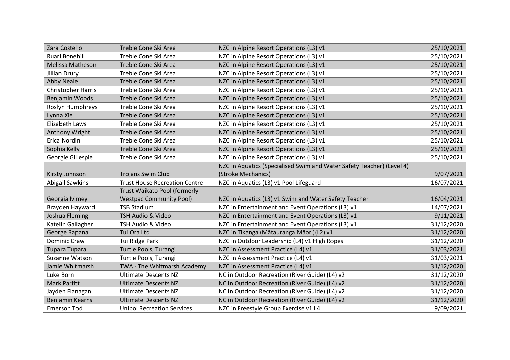| Zara Costello          | Treble Cone Ski Area                 | NZC in Alpine Resort Operations (L3) v1                               | 25/10/2021 |
|------------------------|--------------------------------------|-----------------------------------------------------------------------|------------|
| Ruari Bonehill         | Treble Cone Ski Area                 | NZC in Alpine Resort Operations (L3) v1                               | 25/10/2021 |
| Melissa Matheson       | Treble Cone Ski Area                 | NZC in Alpine Resort Operations (L3) v1                               | 25/10/2021 |
| Jillian Drury          | Treble Cone Ski Area                 | NZC in Alpine Resort Operations (L3) v1                               | 25/10/2021 |
| <b>Abby Neale</b>      | Treble Cone Ski Area                 | NZC in Alpine Resort Operations (L3) v1                               | 25/10/2021 |
| Christopher Harris     | Treble Cone Ski Area                 | NZC in Alpine Resort Operations (L3) v1                               | 25/10/2021 |
| Benjamin Woods         | Treble Cone Ski Area                 | NZC in Alpine Resort Operations (L3) v1                               | 25/10/2021 |
| Roslyn Humphreys       | Treble Cone Ski Area                 | NZC in Alpine Resort Operations (L3) v1                               | 25/10/2021 |
| Lynna Xie              | Treble Cone Ski Area                 | NZC in Alpine Resort Operations (L3) v1                               | 25/10/2021 |
| Elizabeth Laws         | Treble Cone Ski Area                 | NZC in Alpine Resort Operations (L3) v1                               | 25/10/2021 |
| Anthony Wright         | Treble Cone Ski Area                 | NZC in Alpine Resort Operations (L3) v1                               | 25/10/2021 |
| Erica Nordin           | Treble Cone Ski Area                 | NZC in Alpine Resort Operations (L3) v1                               | 25/10/2021 |
| Sophia Kelly           | Treble Cone Ski Area                 | NZC in Alpine Resort Operations (L3) v1                               | 25/10/2021 |
| Georgie Gillespie      | Treble Cone Ski Area                 | NZC in Alpine Resort Operations (L3) v1                               | 25/10/2021 |
|                        |                                      | NZC in Aquatics (Specialised Swim and Water Safety Teacher) (Level 4) |            |
| Kirsty Johnson         | <b>Trojans Swim Club</b>             | (Stroke Mechanics)                                                    | 9/07/2021  |
| <b>Abigail Sawkins</b> | <b>Trust House Recreation Centre</b> | NZC in Aquatics (L3) v1 Pool Lifeguard                                | 16/07/2021 |
|                        | Trust Waikato Pool (formerly         |                                                                       |            |
| Georgia Ivimey         | <b>Westpac Community Pool)</b>       | NZC in Aquatics (L3) v1 Swim and Water Safety Teacher                 | 16/04/2021 |
| Brayden Hayward        | <b>TSB Stadium</b>                   | NZC in Entertainment and Event Operations (L3) v1                     | 14/07/2021 |
| Joshua Fleming         | TSH Audio & Video                    | NZC in Entertainment and Event Operations (L3) v1                     | 9/11/2021  |
| Katelin Gallagher      | TSH Audio & Video                    | NZC in Entertainment and Event Operations (L3) v1                     | 31/12/2020 |
| George Rapana          | Tui Ora Ltd                          | NZC in Tikanga (Mātauranga Māori)(L2) v1                              | 31/12/2020 |
| Dominic Craw           | Tui Ridge Park                       | NZC in Outdoor Leadership (L4) v1 High Ropes                          | 31/12/2020 |
| <b>Tupara Tupara</b>   | Turtle Pools, Turangi                | NZC in Assessment Practice (L4) v1                                    | 31/03/2021 |
| Suzanne Watson         | Turtle Pools, Turangi                | NZC in Assessment Practice (L4) v1                                    | 31/03/2021 |
| Jamie Whitmarsh        | TWA - The Whitmarsh Academy          | NZC in Assessment Practice (L4) v1                                    | 31/12/2020 |
| Luke Born              | <b>Ultimate Descents NZ</b>          | NC in Outdoor Recreation (River Guide) (L4) v2                        | 31/12/2020 |
| <b>Mark Parfitt</b>    | <b>Ultimate Descents NZ</b>          | NC in Outdoor Recreation (River Guide) (L4) v2                        | 31/12/2020 |
| Jayden Flanagan        | <b>Ultimate Descents NZ</b>          | NC in Outdoor Recreation (River Guide) (L4) v2                        | 31/12/2020 |
| Benjamin Kearns        | <b>Ultimate Descents NZ</b>          | NC in Outdoor Recreation (River Guide) (L4) v2                        | 31/12/2020 |
| <b>Emerson Tod</b>     | <b>Unipol Recreation Services</b>    | NZC in Freestyle Group Exercise v1 L4                                 | 9/09/2021  |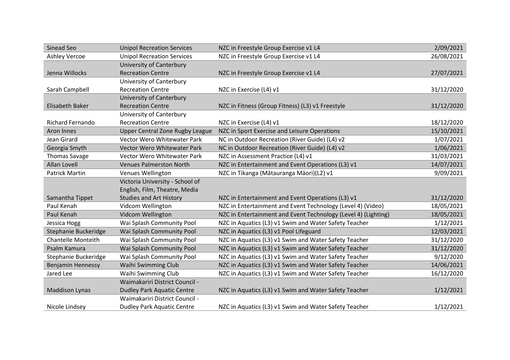| Sinead Seo                | <b>Unipol Recreation Services</b>  | NZC in Freestyle Group Exercise v1 L4                          | 2/09/2021  |
|---------------------------|------------------------------------|----------------------------------------------------------------|------------|
| <b>Ashley Vercoe</b>      | <b>Unipol Recreation Services</b>  | NZC in Freestyle Group Exercise v1 L4                          | 26/08/2021 |
|                           | University of Canterbury           |                                                                |            |
| Jenna Willocks            | <b>Recreation Centre</b>           | NZC in Freestyle Group Exercise v1 L4                          | 27/07/2021 |
|                           | University of Canterbury           |                                                                |            |
| Sarah Campbell            | <b>Recreation Centre</b>           | NZC in Exercise (L4) v1                                        | 31/12/2020 |
|                           | University of Canterbury           |                                                                |            |
| <b>Elisabeth Baker</b>    | <b>Recreation Centre</b>           | NZC in Fitness (Group Fitness) (L3) v1 Freestyle               | 31/12/2020 |
|                           | University of Canterbury           |                                                                |            |
| <b>Richard Fernando</b>   | <b>Recreation Centre</b>           | NZC in Exercise (L4) v1                                        | 18/12/2020 |
| Aron Innes                | Upper Central Zone Rugby League    | NZC in Sport Exercise and Leisure Operations                   | 15/10/2021 |
| Jean Girard               | <b>Vector Wero Whitewater Park</b> | NC in Outdoor Recreation (River Guide) (L4) v2                 | 1/07/2021  |
| Georgia Smyth             | Vector Wero Whitewater Park        | NC in Outdoor Recreation (River Guide) (L4) v2                 | 1/06/2021  |
| <b>Thomas Savage</b>      | Vector Wero Whitewater Park        | NZC in Assessment Practice (L4) v1                             | 31/03/2021 |
| <b>Allan Lovell</b>       | <b>Venues Palmerston North</b>     | NZC in Entertainment and Event Operations (L3) v1              | 14/07/2021 |
| <b>Patrick Martin</b>     | Venues Wellington                  | NZC in Tikanga (Mātauranga Māori)(L2) v1                       | 9/09/2021  |
|                           | Victoria University - School of    |                                                                |            |
|                           | English, Film, Theatre, Media      |                                                                |            |
| Samantha Tippet           | <b>Studies and Art History</b>     | NZC in Entertainment and Event Operations (L3) v1              | 31/12/2020 |
| Paul Kenah                | Vidcom Wellington                  | NZC in Entertainment and Event Technology (Level 4) (Video)    | 18/05/2021 |
| Paul Kenah                | Vidcom Wellington                  | NZC in Entertainment and Event Technology (Level 4) (Lighting) | 18/05/2021 |
| Jessica Hogg              | Wai Splash Community Pool          | NZC in Aquatics (L3) v1 Swim and Water Safety Teacher          | 1/12/2021  |
| Stephanie Buckeridge      | Wai Splash Community Pool          | NZC in Aquatics (L3) v1 Pool Lifeguard                         | 12/03/2021 |
| <b>Chantelle Monteith</b> | Wai Splash Community Pool          | NZC in Aquatics (L3) v1 Swim and Water Safety Teacher          | 31/12/2020 |
| Psalm Kamura              | Wai Splash Community Pool          | NZC in Aquatics (L3) v1 Swim and Water Safety Teacher          | 31/12/2020 |
| Stephanie Buckeridge      | Wai Splash Community Pool          | NZC in Aquatics (L3) v1 Swim and Water Safety Teacher          | 9/12/2020  |
| Benjamin Hennessy         | Waihi Swimming Club                | NZC in Aquatics (L3) v1 Swim and Water Safety Teacher          | 14/06/2021 |
| Jared Lee                 | Waihi Swimming Club                | NZC in Aquatics (L3) v1 Swim and Water Safety Teacher          | 16/12/2020 |
|                           | Waimakariri District Council -     |                                                                |            |
| <b>Maddison Lynas</b>     | <b>Dudley Park Aquatic Centre</b>  | NZC in Aquatics (L3) v1 Swim and Water Safety Teacher          | 1/12/2021  |
|                           | Waimakariri District Council -     |                                                                |            |
| Nicole Lindsey            | <b>Dudley Park Aquatic Centre</b>  | NZC in Aquatics (L3) v1 Swim and Water Safety Teacher          | 1/12/2021  |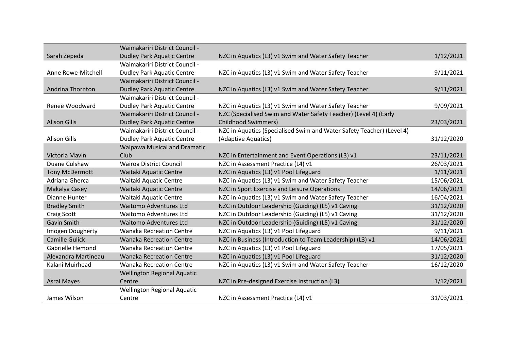|                       | Waimakariri District Council -     |                                                                       |            |
|-----------------------|------------------------------------|-----------------------------------------------------------------------|------------|
| Sarah Zepeda          | <b>Dudley Park Aquatic Centre</b>  | NZC in Aquatics (L3) v1 Swim and Water Safety Teacher                 | 1/12/2021  |
|                       | Waimakariri District Council -     |                                                                       |            |
| Anne Rowe-Mitchell    | <b>Dudley Park Aquatic Centre</b>  | NZC in Aquatics (L3) v1 Swim and Water Safety Teacher                 | 9/11/2021  |
|                       | Waimakariri District Council -     |                                                                       |            |
| Andrina Thornton      | <b>Dudley Park Aquatic Centre</b>  | NZC in Aquatics (L3) v1 Swim and Water Safety Teacher                 | 9/11/2021  |
|                       | Waimakariri District Council -     |                                                                       |            |
| Renee Woodward        | <b>Dudley Park Aquatic Centre</b>  | NZC in Aquatics (L3) v1 Swim and Water Safety Teacher                 | 9/09/2021  |
|                       | Waimakariri District Council -     | NZC (Specialised Swim and Water Safety Teacher) (Level 4) (Early      |            |
| <b>Alison Gills</b>   | <b>Dudley Park Aquatic Centre</b>  | <b>Childhood Swimmers)</b>                                            | 23/03/2021 |
|                       | Waimakariri District Council -     | NZC in Aquatics (Specialised Swim and Water Safety Teacher) (Level 4) |            |
| <b>Alison Gills</b>   | <b>Dudley Park Aquatic Centre</b>  | (Adaptive Aquatics)                                                   | 31/12/2020 |
|                       | Waipawa Musical and Dramatic       |                                                                       |            |
| Victoria Mavin        | Club                               | NZC in Entertainment and Event Operations (L3) v1                     | 23/11/2021 |
| Duane Culshaw         | <b>Wairoa District Council</b>     | NZC in Assessment Practice (L4) v1                                    | 26/03/2021 |
| <b>Tony McDermott</b> | Waitaki Aquatic Centre             | NZC in Aquatics (L3) v1 Pool Lifeguard                                | 1/11/2021  |
| Adriana Gherca        | Waitaki Aquatic Centre             | NZC in Aquatics (L3) v1 Swim and Water Safety Teacher                 | 15/06/2021 |
| Makalya Casey         | Waitaki Aquatic Centre             | NZC in Sport Exercise and Leisure Operations                          | 14/06/2021 |
| Dianne Hunter         | Waitaki Aquatic Centre             | NZC in Aquatics (L3) v1 Swim and Water Safety Teacher                 | 16/04/2021 |
| <b>Bradley Smith</b>  | <b>Waitomo Adventures Ltd</b>      | NZC in Outdoor Leadership (Guiding) (L5) v1 Caving                    | 31/12/2020 |
| <b>Craig Scott</b>    | <b>Waitomo Adventures Ltd</b>      | NZC in Outdoor Leadership (Guiding) (L5) v1 Caving                    | 31/12/2020 |
| Gavin Smith           | <b>Waitomo Adventures Ltd</b>      | NZC in Outdoor Leadership (Guiding) (L5) v1 Caving                    | 31/12/2020 |
| Imogen Dougherty      | <b>Wanaka Recreation Centre</b>    | NZC in Aquatics (L3) v1 Pool Lifeguard                                | 9/11/2021  |
| <b>Camille Gulick</b> | <b>Wanaka Recreation Centre</b>    | NZC in Business (Introduction to Team Leadership) (L3) v1             | 14/06/2021 |
| Gabrielle Hemond      | <b>Wanaka Recreation Centre</b>    | NZC in Aquatics (L3) v1 Pool Lifeguard                                | 17/05/2021 |
| Alexandra Martineau   | <b>Wanaka Recreation Centre</b>    | NZC in Aquatics (L3) v1 Pool Lifeguard                                | 31/12/2020 |
| Kalani Muirhead       | <b>Wanaka Recreation Centre</b>    | NZC in Aquatics (L3) v1 Swim and Water Safety Teacher                 | 16/12/2020 |
|                       | <b>Wellington Regional Aquatic</b> |                                                                       |            |
| Asrai Mayes           | Centre                             | NZC in Pre-designed Exercise Instruction (L3)                         | 1/12/2021  |
|                       | <b>Wellington Regional Aquatic</b> |                                                                       |            |
| James Wilson          | Centre                             | NZC in Assessment Practice (L4) v1                                    | 31/03/2021 |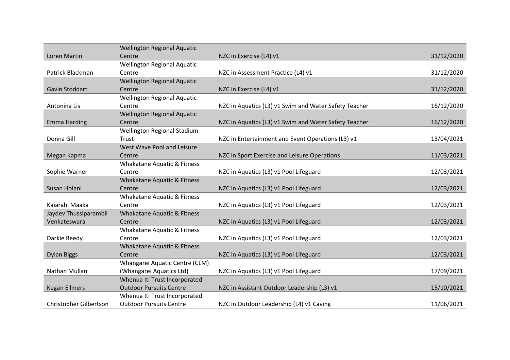|                        | <b>Wellington Regional Aquatic</b> |                                                       |            |
|------------------------|------------------------------------|-------------------------------------------------------|------------|
| Loren Martin           | Centre                             | NZC in Exercise (L4) v1                               | 31/12/2020 |
|                        | <b>Wellington Regional Aquatic</b> |                                                       |            |
| Patrick Blackman       | Centre                             | NZC in Assessment Practice (L4) v1                    | 31/12/2020 |
|                        | <b>Wellington Regional Aquatic</b> |                                                       |            |
| Gavin Stoddart         | Centre                             | NZC in Exercise (L4) v1                               | 31/12/2020 |
|                        | <b>Wellington Regional Aquatic</b> |                                                       |            |
| Antonina Lis           | Centre                             | NZC in Aquatics (L3) v1 Swim and Water Safety Teacher | 16/12/2020 |
|                        | <b>Wellington Regional Aquatic</b> |                                                       |            |
| <b>Emma Harding</b>    | Centre                             | NZC in Aquatics (L3) v1 Swim and Water Safety Teacher | 16/12/2020 |
|                        | Wellington Regional Stadium        |                                                       |            |
| Donna Gill             | Trust                              | NZC in Entertainment and Event Operations (L3) v1     | 13/04/2021 |
|                        | West Wave Pool and Leisure         |                                                       |            |
| Megan Kapma            | Centre                             | NZC in Sport Exercise and Leisure Operations          | 11/03/2021 |
|                        | Whakatane Aquatic & Fitness        |                                                       |            |
| Sophie Warner          | Centre                             | NZC in Aquatics (L3) v1 Pool Lifeguard                | 12/03/2021 |
|                        | Whakatane Aquatic & Fitness        |                                                       |            |
| Susan Holani           | Centre                             | NZC in Aquatics (L3) v1 Pool Lifeguard                | 12/03/2021 |
|                        | Whakatane Aquatic & Fitness        |                                                       |            |
| Kaiarahi Maaka         | Centre                             | NZC in Aquatics (L3) v1 Pool Lifeguard                | 12/03/2021 |
| Jaydev Thussiparambil  | Whakatane Aquatic & Fitness        |                                                       |            |
| Venkateswara           | Centre                             | NZC in Aquatics (L3) v1 Pool Lifeguard                | 12/03/2021 |
|                        | Whakatane Aquatic & Fitness        |                                                       |            |
| Darkie Reedy           | Centre                             | NZC in Aquatics (L3) v1 Pool Lifeguard                | 12/03/2021 |
|                        | Whakatane Aquatic & Fitness        |                                                       |            |
| <b>Dylan Biggs</b>     | Centre                             | NZC in Aquatics (L3) v1 Pool Lifeguard                | 12/03/2021 |
|                        | Whangarei Aquatic Centre (CLM)     |                                                       |            |
| Nathan Mullan          | (Whangarei Aquatics Ltd)           | NZC in Aquatics (L3) v1 Pool Lifeguard                | 17/09/2021 |
|                        | Whenua Iti Trust Incorporated      |                                                       |            |
| <b>Kegan Ellmers</b>   | <b>Outdoor Pursuits Centre</b>     | NZC in Assistant Outdoor Leadership (L3) v1           | 15/10/2021 |
|                        | Whenua Iti Trust Incorporated      |                                                       |            |
| Christopher Gilbertson | <b>Outdoor Pursuits Centre</b>     | NZC in Outdoor Leadership (L4) v1 Caving              | 11/06/2021 |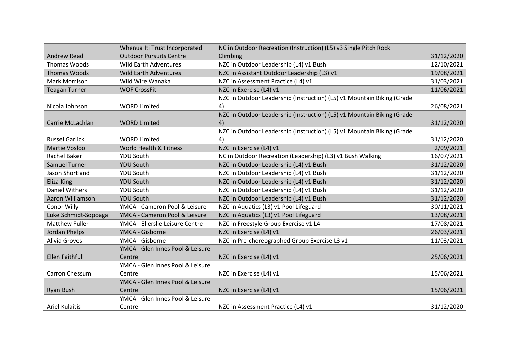|                        | Whenua Iti Trust Incorporated    | NC in Outdoor Recreation (Instruction) (L5) v3 Single Pitch Rock       |            |
|------------------------|----------------------------------|------------------------------------------------------------------------|------------|
| <b>Andrew Read</b>     | <b>Outdoor Pursuits Centre</b>   | Climbing                                                               | 31/12/2020 |
| <b>Thomas Woods</b>    | <b>Wild Earth Adventures</b>     |                                                                        | 12/10/2021 |
|                        |                                  | NZC in Outdoor Leadership (L4) v1 Bush                                 |            |
| <b>Thomas Woods</b>    | <b>Wild Earth Adventures</b>     | NZC in Assistant Outdoor Leadership (L3) v1                            | 19/08/2021 |
| <b>Mark Morrison</b>   | Wild Wire Wanaka                 | NZC in Assessment Practice (L4) v1                                     | 31/03/2021 |
| <b>Teagan Turner</b>   | <b>WOF CrossFit</b>              | NZC in Exercise (L4) v1                                                | 11/06/2021 |
|                        |                                  | NZC in Outdoor Leadership (Instruction) (L5) v1 Mountain Biking (Grade |            |
| Nicola Johnson         | <b>WORD Limited</b>              | 4)                                                                     | 26/08/2021 |
|                        |                                  | NZC in Outdoor Leadership (Instruction) (L5) v1 Mountain Biking (Grade |            |
| Carrie McLachlan       | <b>WORD Limited</b>              | 4)                                                                     | 31/12/2020 |
|                        |                                  | NZC in Outdoor Leadership (Instruction) (L5) v1 Mountain Biking (Grade |            |
| <b>Russel Garlick</b>  | <b>WORD Limited</b>              | 4)                                                                     | 31/12/2020 |
| <b>Martie Vosloo</b>   | World Health & Fitness           | NZC in Exercise (L4) v1                                                | 2/09/2021  |
| <b>Rachel Baker</b>    | <b>YDU South</b>                 | NC in Outdoor Recreation (Leadership) (L3) v1 Bush Walking             | 16/07/2021 |
| <b>Samuel Turner</b>   | <b>YDU South</b>                 | NZC in Outdoor Leadership (L4) v1 Bush                                 | 31/12/2020 |
| Jason Shortland        | <b>YDU South</b>                 | NZC in Outdoor Leadership (L4) v1 Bush                                 | 31/12/2020 |
| Eliza King             | <b>YDU South</b>                 | NZC in Outdoor Leadership (L4) v1 Bush                                 | 31/12/2020 |
| <b>Daniel Withers</b>  | <b>YDU South</b>                 | NZC in Outdoor Leadership (L4) v1 Bush                                 | 31/12/2020 |
| Aaron Williamson       | <b>YDU South</b>                 | NZC in Outdoor Leadership (L4) v1 Bush                                 | 31/12/2020 |
| Conor Willy            | YMCA - Cameron Pool & Leisure    | NZC in Aquatics (L3) v1 Pool Lifeguard                                 | 30/11/2021 |
| Luke Schmidt-Sopoaga   | YMCA - Cameron Pool & Leisure    | NZC in Aquatics (L3) v1 Pool Lifeguard                                 | 13/08/2021 |
| <b>Matthew Fuller</b>  | YMCA - Ellerslie Leisure Centre  | NZC in Freestyle Group Exercise v1 L4                                  | 17/08/2021 |
| Jordan Phelps          | YMCA - Gisborne                  | NZC in Exercise (L4) v1                                                | 26/03/2021 |
| Alivia Groves          | YMCA - Gisborne                  | NZC in Pre-choreographed Group Exercise L3 v1                          | 11/03/2021 |
|                        | YMCA - Glen Innes Pool & Leisure |                                                                        |            |
| <b>Ellen Faithfull</b> | Centre                           | NZC in Exercise (L4) v1                                                | 25/06/2021 |
|                        | YMCA - Glen Innes Pool & Leisure |                                                                        |            |
| Carron Chessum         | Centre                           | NZC in Exercise (L4) v1                                                | 15/06/2021 |
|                        | YMCA - Glen Innes Pool & Leisure |                                                                        |            |
| Ryan Bush              | Centre                           | NZC in Exercise (L4) v1                                                | 15/06/2021 |
|                        | YMCA - Glen Innes Pool & Leisure |                                                                        |            |
| <b>Ariel Kulaitis</b>  | Centre                           | NZC in Assessment Practice (L4) v1                                     | 31/12/2020 |